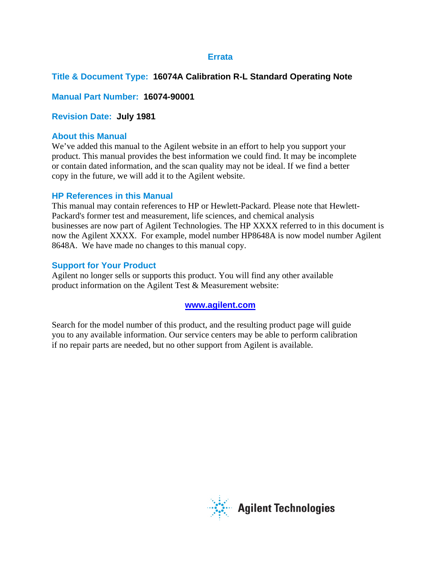### **Errata**

## **Title & Document Type: 16074A Calibration R-L Standard Operating Note**

## **Manual Part Number: 16074-90001**

## **Revision Date: July 1981**

### **About this Manual**

We've added this manual to the Agilent website in an effort to help you support your product. This manual provides the best information we could find. It may be incomplete or contain dated information, and the scan quality may not be ideal. If we find a better copy in the future, we will add it to the Agilent website.

### **HP References in this Manual**

This manual may contain references to HP or Hewlett-Packard. Please note that Hewlett-Packard's former test and measurement, life sciences, and chemical analysis businesses are now part of Agilent Technologies. The HP XXXX referred to in this document is now the Agilent XXXX. For example, model number HP8648A is now model number Agilent 8648A. We have made no changes to this manual copy.

### **Support for Your Product**

Agilent no longer sells or supports this product. You will find any other available product information on the Agilent Test & Measurement website:

### **[www.agilent.com](http://www.agilent.com/)**

Search for the model number of this product, and the resulting product page will guide you to any available information. Our service centers may be able to perform calibration if no repair parts are needed, but no other support from Agilent is available.

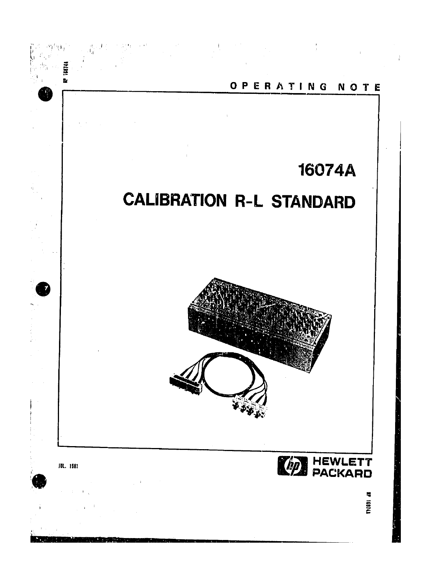

 $\frac{1}{2}$  .  $\frac{1}{2}$  $\sim 10^{11}$  km  $^{-1}$  $\alpha_{\rm c}$  , and  $\alpha_{\rm c}$ 

**ED HEWLETT** 

 $\overline{\phantom{a}}$ 160744

 $\frac{1}{4}$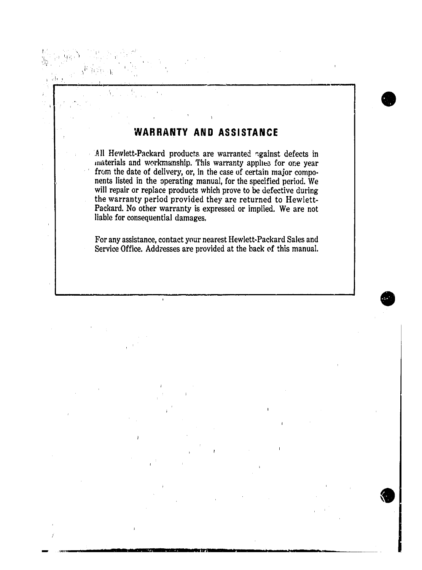### **AND ASSISTANCE WARRANTY**

Å.

í

۰۱,

All Hewlett-Packard products are warranted against defects in materials and workmanship. This warranty applies for one year from the date of delivery, or, in the case of certain major components listed in the operating manual, for the specified period. We will repair or replace products which prove to be defective during the warranty period provided they are returned to Hewlett-Packard. No other warranty is expressed or implied. We are not liable for consequential damages.

For any assistance, contact your nearest Hewlett-Packard Sales and Service Office. Addresses are provided at the back of this manual.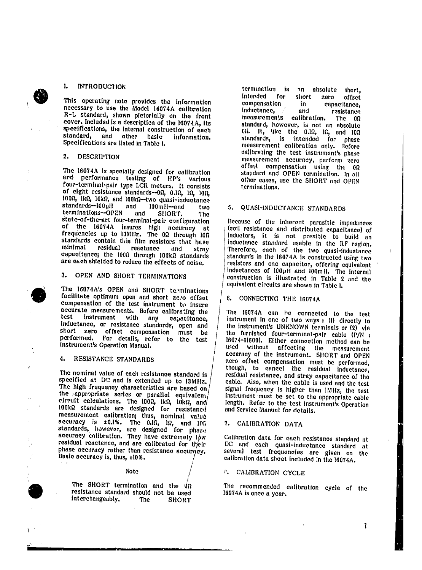#### $\mathbf{L}$ **INTRODUCTION**

This operating note provides the information necessary to use the Model 16074A calibration R-L standard, shown pictorially on the front cover. Included is a description of the 16074A, its specifications, the internal construction of each standard, and other basic information. Specifications are listed in Table 1.

#### $2.$ **DESCRIPTION**

The 16074A is specially designed for calibration and performance testing of HP's various<br>four-terminal-pair type LCR meters. It consists of eight resistance standards--00, 0.10, 10, 100, 1000, Ik0, 10k0, and 100k0-two quasi-inductance  $standards-100\mu$ H 100mH-and and two terminations--OPEN and SHORT. The state-of-the-art four-terminal-pair configuration of the 16074A insures high accuracy at frequencies up to I3MHz. The 00 through 100 standards contain thin film resistors that have minimal residual reactance and strny capacitance; the 100Ω through 100kΩ standards are each shielded to reduce the effects of noise.

#### OPEN AND SHORT TERMINATIONS  $3<sub>1</sub>$

The 16074A's OPEN and SHORT terminations facilitate optimum open and short zero offset compensation of the test instrument to insure accurate measurements. Before calibrating the test with any instrument capacitance, inductance, or resistance standards, open and short zero offset compensation must be performed. For details, refer to the test instrument's Operation Manual.

#### 4. RESISTANCE STANDARDS

The nominal value of each resistance standard is specified at DC and is extended up to 13MHz. The high frequency characteristics are based on the appropriate series or parallel equivalent eircuit calculations. The 1000, lkn, lokn, and 100kΩ standards are designed for resistanco measurement calibration; thus, nominal value accuracy is ±0.1%. The 0.10, 10, and 100 standards, however, are designed for phase accuracy calibration. They have extremely low residual reactance, and are calibrated for their phase accuracy rather than resistance accuracy. Basic accuracy is, thus, ±10%.

### **Note**

The SHORT termination and the  $\hat{y}_\Omega$ resistance standard should not be used interchangeably. **The SHORT** 

termination is an absolute short, intended for short zero offset compensation in. capacitance. inductance. and resistance measurements calibration. The  $0\Omega$ standard, however, is not an absolute  $0\Omega$ . It, like the  $0.\Omega$ ,  $\Omega$ , and  $10\Omega$ standards, is intended for phase measurement calibration only. Before calibrating the test instrument's phase measurement accuracy, perform zero offsot compensation using the 00 standard and OPEN termination. In all other cases, use the SHORT and OPEN terminations.

#### QUASI-INDUCTANCE STANDARDS  $5.$

Because of the inherent parasitic impedances (coil resistance and distributed enpacitance) of inductors, it is not possible to build an inductance standard usable in the RF region. Therefore, each of the two quasi-inductance standards in the 16074A is constructed using two resistors and one capacitor, offering equivalent inductances of 100µH and 100mH. The internal construction is illustrated in Table 2 and the equivalent circuits are shown in Table 1.

#### 6. CONNECTING THE 16074A

The 16074A can he connected to the test instrument in one of two ways : (I) directly to the instrument's UNKNOWN terminals or (2) via the furnished four-terminal-pair cable (P/N : 16074-61600). Either connection method can be used without affecting the measurement accuracy of the instrument. SHORT and OPEN zero offset compensation must be performed, though, to cancel the residual inductance, residual resistance, and stray capacitance of the cable. Also, when the cable is used and the test signal frequency is higher than IMHz, the test instrument must be set to the appropriate cable length. Refer to the test instrument's Operation and Service Manual for details.

### 7. CALIBRATION DATA

Calibration data for each resistance standard at DC and each quasi-inductance standard at several test frequencies are given on the calibration data sheet included in the 16074A.

### **P.** CALIBRATION CYCLE

The recommended calibration cycle of the 16074A is once a year.

 $\mathbf{L}$ 

 $\mathbf{I}$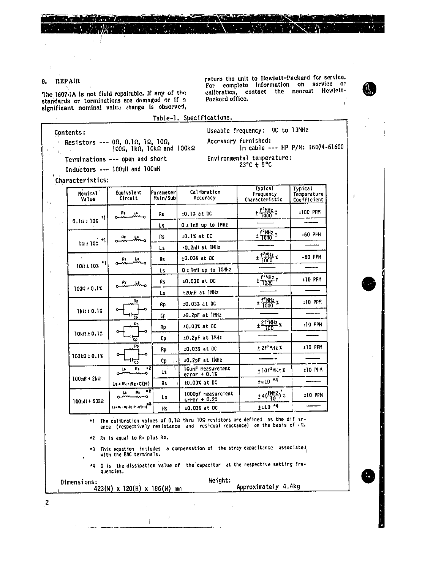$\mathbb{R}^{d \times d}$  .

#### REPAIR  $9.$

The 16074A is not field repairable. If any of the standards or terminations are damaged or if a significant nominal value change is observed,

return the unit to Hewlett-Packard for service. For complete information on service or calibration, contact the nearest Hewlett-Packard office.

lm cable --- HP P/N: 16074-61600

 $\overline{\mathbf{1}}$ 

 $\mathcal{I}_\bullet$ 

Useable frequency: OC to l3MHz

Accessory furnished:

Environmental temperature:

 $23^{\circ}C + 5^{\circ}C$ 

Table-1. Specifications.

## Contents:

Resistors ---  $0\Omega$ , 0.1 $\Omega$ , 1 $\Omega$ , 10 $\Omega$ , 1000, 1k $\Omega$ , 10k $\Omega$  and 100k $\Omega$ 

Terminations --- open and short

Inductors --- 100tH and 100mH

Characteristics:

| Nomiral<br>Value    | Equivalent<br>Circuit           | Parameter<br>Nain/Subi        | Calibration<br>Accuracy              | туртсат<br>Frequency<br>Characteristic | <b>Lypical</b><br>Temperature<br>Coefficient |
|---------------------|---------------------------------|-------------------------------|--------------------------------------|----------------------------------------|----------------------------------------------|
| ٠ı                  | L٤<br>Rs.                       | Rs                            | $10.12$ at DC                        | + f <sup>2</sup> MHz<br>+ T000 *       | ±100 PPM                                     |
| 0.101101            |                                 | Ls                            | O i lnH up to lMHz                   |                                        |                                              |
|                     | Rs<br>Alama<br>ш,               | <b>Rs</b>                     | $10.1\%$ at DC                       | $\pm \frac{f^2 M Hz}{1000}$ %          | -60 PPM                                      |
| 101101              |                                 | <b>Ls</b>                     | :0.2nH at IMHz                       |                                        |                                              |
| ٠ı<br>10011102      | R۲<br>Ls.                       | R <sub>5</sub>                | $±0.03%$ at DC                       | $\pm \frac{f^2 M Hz}{1000}x$           | $-60$ PPM                                    |
|                     |                                 | L <sub>5</sub>                | O ± InH up to 10MHz                  |                                        |                                              |
|                     | Ls.<br>Rr<br>⊸w∼                | <b>Rs</b>                     | 10.03% at DC                         | $\frac{f^*MRz}{1000}$                  | <b>110 PPM</b>                               |
| $1000 \pm 0.14$     |                                 | L5.                           | t20nH at INHz                        |                                        |                                              |
|                     | Rp                              | Rp                            | 10.03% at DC                         | $\pm$ $\frac{f^2MHz}{1000}x$           | <b>110 PPM</b>                               |
| 1k(10,11)           | ंदर्                            | Сp                            | 10.2pF at IMHz                       |                                        |                                              |
| $10k$ $2 + 0.12$    | <u>Rp</u><br>ক                  | Rp                            | ±0.03% at DC                         | $\frac{1}{2} \frac{2f^2MHz}{100}$ %    | $:10$ PPM                                    |
|                     |                                 | Сp                            | ±0.2pF at IMHz                       |                                        |                                              |
| $100k\Omega + 0.1%$ | Rp<br>$\frac{1}{\Phi}$          | Rp                            | ±0.03% at DC                         | ± 2f <sup>2</sup> MHz X                | ±10 PPM                                      |
|                     |                                 | <b>Cp</b><br>$\pm$ A $^\circ$ | ±0.2pF at IMHz                       |                                        |                                              |
|                     | $^{\circ2}$<br>Rs.<br>Ls.<br>-0 | $\mathsf{Ls}$                 | 1GunF measurement<br>$error + 0.1%$  | $±$ 10f <sup>2</sup> ME3 %             | ±10 PFM                                      |
| $100mH + 2kR$       | $L$ s = Ri + Rz + C(H)          | Rs.                           | ±0.03% at DC                         | $t$ with $*4$                          |                                              |
| $100_HH + 632R$     | - 2<br>Rs.<br>Ls.<br>لسن<br>⇜⇜  | Ls.                           | 1000pF measurement<br>$error + 0.21$ | $±4(\frac{fMHZ}{10})^2$                | ±10 PPM                                      |
|                     | Lanker Ry (C-Rief RH)           | Кs.                           | ±0.03% at DC                         | $\pm \omega$ LD <sup>+4</sup>          |                                              |

\*) The calibration values of 0.10 thru 100 resistors are defined as the difference (respectively resistance and residual reactance) on the basis of  $\sqrt{\Omega}$ .

\*2 Rs is equal to Ri plus Rz.

This equation includes a compensation of the stray capacitance associated \*3 with the BNC terminals.

\*4 D is the dissipation value of the capacitor at the respective setting frequencies.

Dimensions:  $423(W)$  x 120(H) x 186(W) mn

 $\bar{1}$ 

 $\mathbf{I}$ 

Weight: Approximately 4.4kg

 $\overline{2}$ 

 $\mathbf{u}$ 

 $\,$   $\,$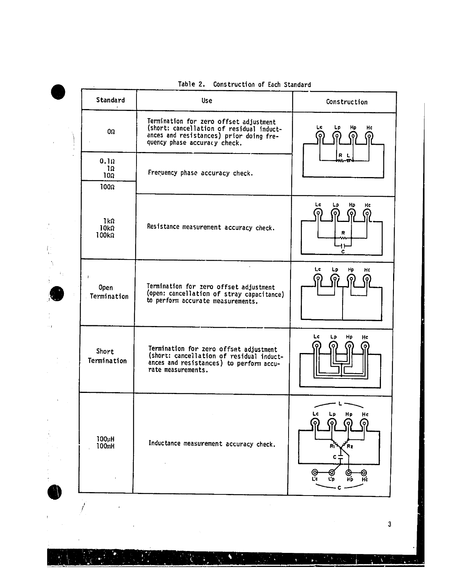|                                                       | IGUIT L.<br>CONSTRUCTION OF EACH STANDARD                                                                                                                     |                                     |  |  |
|-------------------------------------------------------|---------------------------------------------------------------------------------------------------------------------------------------------------------------|-------------------------------------|--|--|
| Standard                                              | <b>Use</b>                                                                                                                                                    | Construction                        |  |  |
| $0\Omega$                                             | Termination for zero offset adjustment<br>(short: cancellation of residual induct-<br>ances and resistances) prior doing fre-<br>quency phase accuracy check. | Hc<br>Lc.<br>Hp<br>Lр<br>o          |  |  |
| $0.1\Omega$<br>$1\Omega$<br>$10\Omega$<br>$100\Omega$ | Frequency phase accuracy check.                                                                                                                               | R L                                 |  |  |
| $1k\Omega$<br>$10k\Omega$<br>100kΩ                    | Resistance measurement accuracy check.                                                                                                                        | Lc<br>Hp<br>Hc<br>Lp<br>۰<br>R<br>c |  |  |
| $\mathbf{I}$<br><b>Open</b><br>Termination            | Termination for zero offset adjustment<br>(open: cancellation of stray capacitance)<br>to perform accurate measurements.                                      | Lc<br>Ļр<br>Hp<br>H¢                |  |  |
| Short<br>Termination                                  | Termination for zero offset adjustment<br>(short: cancellation of residual induct-<br>ances and resistances) to perform accu-<br>rate measurements.           | Lc<br><b>Lp</b><br>Hp<br>Hc         |  |  |
| 100µH<br>100mH                                        | Inductance measurement accuracy check.                                                                                                                        | Hp<br>Hc<br>R2<br>HD                |  |  |

٩

# Table 2. Construction of Each Standard

 $\sim$ 

Ł

 $\ddot{\phantom{1}}$ 

 $\bar{\Gamma}$ 

ķ

 $\mathcal{L}(\mathcal{A})$ 

 $\bullet$ 

N

 $\mathcal{M}^{\prime}$  ,  $\mathcal{M}_{\rm{H}}$  ,

 $\frac{1}{2}$  .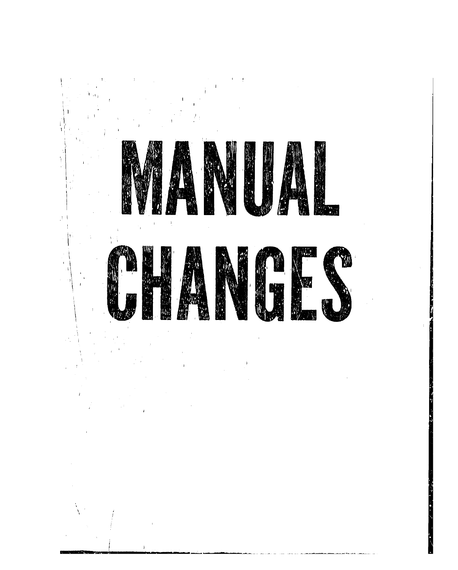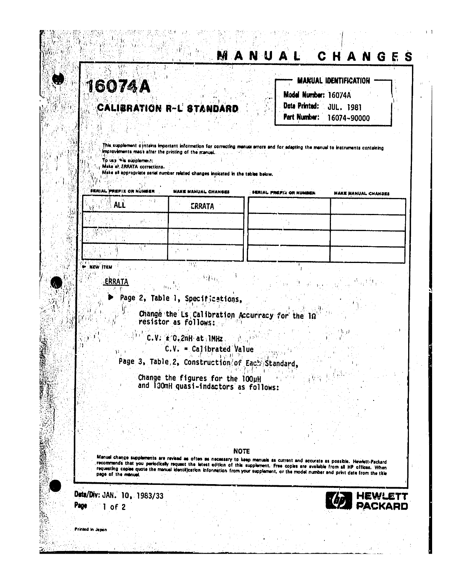|                  | <b>16074A</b>                                         | <b>CALIBRATION R-L STANDARD</b>                                                                                                       | Model Number: 16074A<br>Date Printed:                                                                                                                                                                                                                                   | <b>MARUAL IDENTIFICATION</b><br><b>JUL. 1981</b> |
|------------------|-------------------------------------------------------|---------------------------------------------------------------------------------------------------------------------------------------|-------------------------------------------------------------------------------------------------------------------------------------------------------------------------------------------------------------------------------------------------------------------------|--------------------------------------------------|
|                  |                                                       |                                                                                                                                       | Part Number:                                                                                                                                                                                                                                                            | 16074~90000                                      |
|                  | improvements made after the printing of the manual.   |                                                                                                                                       | This supplement a intens important information for correcting menual errors and for adapting the manual to instruments containing                                                                                                                                       |                                                  |
|                  | To use wie supplement:<br>Make at ERRATA corrections. |                                                                                                                                       |                                                                                                                                                                                                                                                                         |                                                  |
|                  |                                                       | Make all appropriate seriel number related changes incidated in the tables below.                                                     |                                                                                                                                                                                                                                                                         |                                                  |
|                  | FKAIAL PAEFIX ON NUMB                                 | MAKE MANUAL CHANGES                                                                                                                   | FERIAL PREFIX OR NUMBER                                                                                                                                                                                                                                                 | <b>MAKE MANUAL CHANSES</b>                       |
|                  | <b>ALL</b>                                            | ERRATA                                                                                                                                |                                                                                                                                                                                                                                                                         |                                                  |
|                  |                                                       |                                                                                                                                       |                                                                                                                                                                                                                                                                         |                                                  |
|                  |                                                       |                                                                                                                                       |                                                                                                                                                                                                                                                                         |                                                  |
| <b>WARW ITEM</b> |                                                       | $\mathcal{W}_{\mathcal{A}}$                                                                                                           |                                                                                                                                                                                                                                                                         |                                                  |
|                  | ERRATA                                                |                                                                                                                                       |                                                                                                                                                                                                                                                                         |                                                  |
|                  |                                                       | Page 2, Table 1, Specifications,                                                                                                      |                                                                                                                                                                                                                                                                         |                                                  |
|                  |                                                       |                                                                                                                                       | Change the Ls Calibration Accurracy for the li                                                                                                                                                                                                                          |                                                  |
|                  |                                                       | resistor as follows:<br>C.V. * C.2nH at IMHz                                                                                          |                                                                                                                                                                                                                                                                         |                                                  |
|                  |                                                       | $C.V. = Calibrated Value$                                                                                                             |                                                                                                                                                                                                                                                                         |                                                  |
|                  |                                                       | Page 3, Table 2, Construction of Each Standard,                                                                                       |                                                                                                                                                                                                                                                                         |                                                  |
|                  |                                                       | Change the figures for the 100µH<br>and 100mH quasi-indactors as follows:                                                             |                                                                                                                                                                                                                                                                         |                                                  |
|                  |                                                       |                                                                                                                                       |                                                                                                                                                                                                                                                                         |                                                  |
|                  |                                                       |                                                                                                                                       |                                                                                                                                                                                                                                                                         |                                                  |
|                  |                                                       |                                                                                                                                       |                                                                                                                                                                                                                                                                         |                                                  |
|                  |                                                       |                                                                                                                                       | <b>NOTE</b>                                                                                                                                                                                                                                                             |                                                  |
|                  |                                                       |                                                                                                                                       | Manuel change supplements are revised as often as necessary to keep menuals as current and accurate as possible. Hewielt-Packard<br>recommends that you periodically request the letest edition of this supplement. Free copies are svaliable from all HP offices. When |                                                  |
|                  |                                                       |                                                                                                                                       |                                                                                                                                                                                                                                                                         |                                                  |
|                  | page of the manual.<br>Date/Div: JAN. 10, 1983/33     | requesting cooles quote the manual identification information from your supplement, or the model number and print date from the title |                                                                                                                                                                                                                                                                         |                                                  |